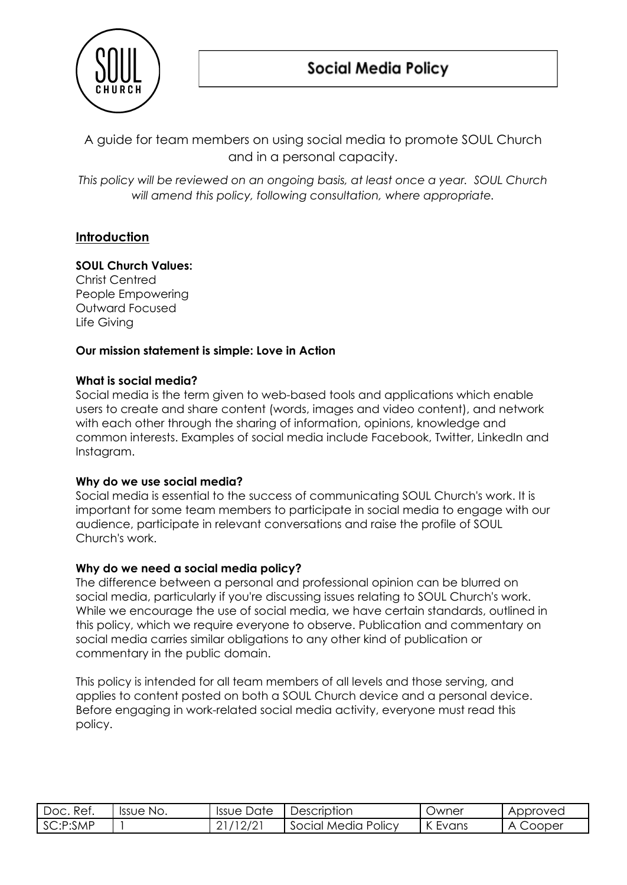

A guide for team members on using social media to promote SOUL Church and in a personal capacity.

*This policy will be reviewed on an ongoing basis, at least once a year. SOUL Church will amend this policy, following consultation, where appropriate.*

# **Introduction**

# **SOUL Church Values:**

Christ Centred People Empowering Outward Focused Life Giving

## **Our mission statement is simple: Love in Action**

### **What is social media?**

Social media is the term given to web-based tools and applications which enable users to create and share content (words, images and video content), and network with each other through the sharing of information, opinions, knowledge and common interests. Examples of social media include Facebook, Twitter, LinkedIn and Instagram.

#### **Why do we use social media?**

Social media is essential to the success of communicating SOUL Church's work. It is important for some team members to participate in social media to engage with our audience, participate in relevant conversations and raise the profile of SOUL Church's work.

## **Why do we need a social media policy?**

The difference between a personal and professional opinion can be blurred on social media, particularly if you're discussing issues relating to SOUL Church's work. While we encourage the use of social media, we have certain standards, outlined in this policy, which we require everyone to observe. Publication and commentary on social media carries similar obligations to any other kind of publication or commentary in the public domain.

This policy is intended for all team members of all levels and those serving, and applies to content posted on both a SOUL Church device and a personal device. Before engaging in work-related social media activity, everyone must read this policy.

| -Ref.<br>Doc. | Issue No. | Date<br><b>Issue</b> | Description         | Jwner      | Approved    |
|---------------|-----------|----------------------|---------------------|------------|-------------|
| SC:P:SMP      |           | $'12_L$<br><u>_</u>  | Social Media Policy | K<br>Evans | Cooper<br>A |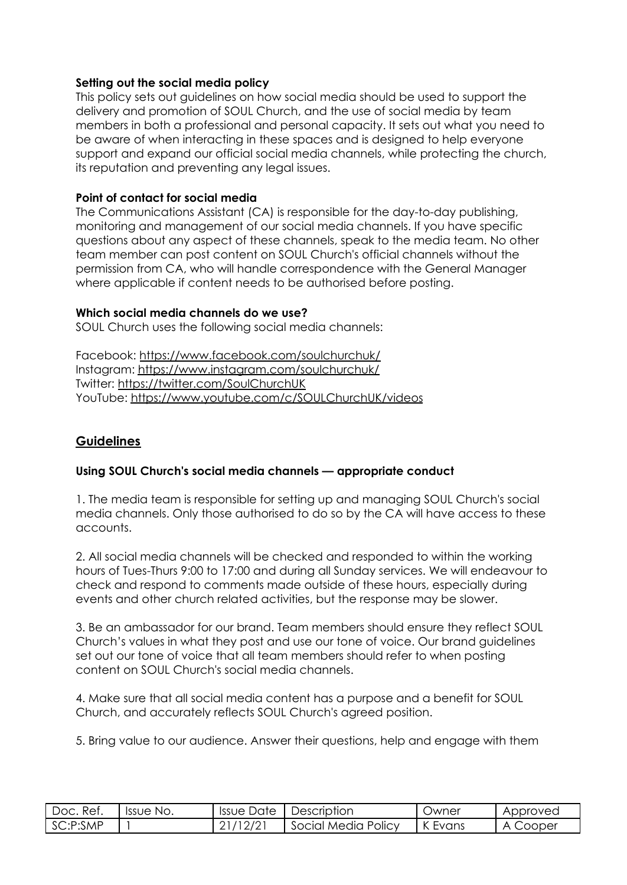### **Setting out the social media policy**

This policy sets out guidelines on how social media should be used to support the delivery and promotion of SOUL Church, and the use of social media by team members in both a professional and personal capacity. It sets out what you need to be aware of when interacting in these spaces and is designed to help everyone support and expand our official social media channels, while protecting the church, its reputation and preventing any legal issues.

## **Point of contact for social media**

The Communications Assistant (CA) is responsible for the day-to-day publishing, monitoring and management of our social media channels. If you have specific questions about any aspect of these channels, speak to the media team. No other team member can post content on SOUL Church's official channels without the permission from CA, who will handle correspondence with the General Manager where applicable if content needs to be authorised before posting.

## **Which social media channels do we use?**

SOUL Church uses the following social media channels:

Facebook: <https://www.facebook.com/soulchurchuk/> Instagram: <https://www.instagram.com/soulchurchuk/> Twitter: <https://twitter.com/SoulChurchUK> YouTube: <https://www.youtube.com/c/SOULChurchUK/videos>

# **Guidelines**

## **Using SOUL Church's social media channels — appropriate conduct**

1. The media team is responsible for setting up and managing SOUL Church's social media channels. Only those authorised to do so by the CA will have access to these accounts.

2. All social media channels will be checked and responded to within the working hours of Tues-Thurs 9:00 to 17:00 and during all Sunday services. We will endeavour to check and respond to comments made outside of these hours, especially during events and other church related activities, but the response may be slower.

3. Be an ambassador for our brand. Team members should ensure they reflect SOUL Church's values in what they post and use our tone of voice. Our brand guidelines set out our tone of voice that all team members should refer to when posting content on SOUL Church's social media channels.

4. Make sure that all social media content has a purpose and a benefit for SOUL Church, and accurately reflects SOUL Church's agreed position.

5. Bring value to our audience. Answer their questions, help and engage with them

| Doc. Ref.  | Issue No. | Issue Date | Description         | Jwner        | Approved |
|------------|-----------|------------|---------------------|--------------|----------|
| l SC:P:SMP |           |            | Social Media Policy | Evans<br>'NL | Cooper   |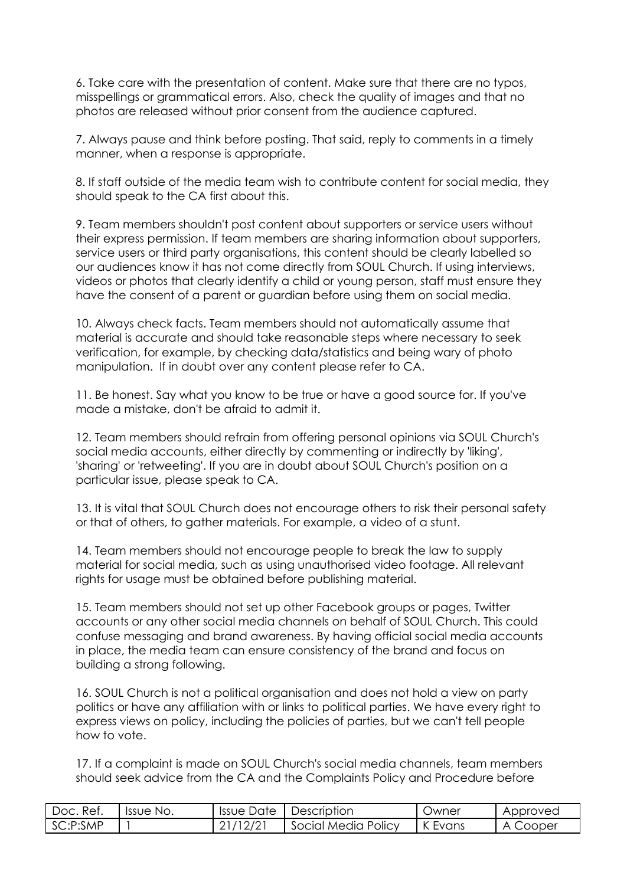6. Take care with the presentation of content. Make sure that there are no typos, misspellings or grammatical errors. Also, check the quality of images and that no photos are released without prior consent from the audience captured.

7. Always pause and think before posting. That said, reply to comments in a timely manner, when a response is appropriate.

8. If staff outside of the media team wish to contribute content for social media, they should speak to the CA first about this.

9. Team members shouldn't post content about supporters or service users without their express permission. If team members are sharing information about supporters, service users or third party organisations, this content should be clearly labelled so our audiences know it has not come directly from SOUL Church. If using interviews, videos or photos that clearly identify a child or young person, staff must ensure they have the consent of a parent or guardian before using them on social media.

10. Always check facts. Team members should not automatically assume that material is accurate and should take reasonable steps where necessary to seek verification, for example, by checking data/statistics and being wary of photo manipulation. If in doubt over any content please refer to CA.

11. Be honest. Say what you know to be true or have a good source for. If you've made a mistake, don't be afraid to admit it.

12. Team members should refrain from offering personal opinions via SOUL Church's social media accounts, either directly by commenting or indirectly by 'liking', 'sharing' or 'retweeting'. If you are in doubt about SOUL Church's position on a particular issue, please speak to CA.

13. It is vital that SOUL Church does not encourage others to risk their personal safety or that of others, to gather materials. For example, a video of a stunt.

14. Team members should not encourage people to break the law to supply material for social media, such as using unauthorised video footage. All relevant rights for usage must be obtained before publishing material.

15. Team members should not set up other Facebook groups or pages, Twitter accounts or any other social media channels on behalf of SOUL Church. This could confuse messaging and brand awareness. By having official social media accounts in place, the media team can ensure consistency of the brand and focus on building a strong following.

16. SOUL Church is not a political organisation and does not hold a view on party politics or have any affiliation with or links to political parties. We have every right to express views on policy, including the policies of parties, but we can't tell people how to vote.

17. If a complaint is made on SOUL Church's social media channels, team members should seek advice from the CA and the Complaints Policy and Procedure before

| Doc. Ref.  | Issue No. | Issue Date | <b>Description</b>  | Owner   | Approved |
|------------|-----------|------------|---------------------|---------|----------|
| l SC:P:SMP |           | 21/12/21   | Social Media Policy | K Evans | , Cooper |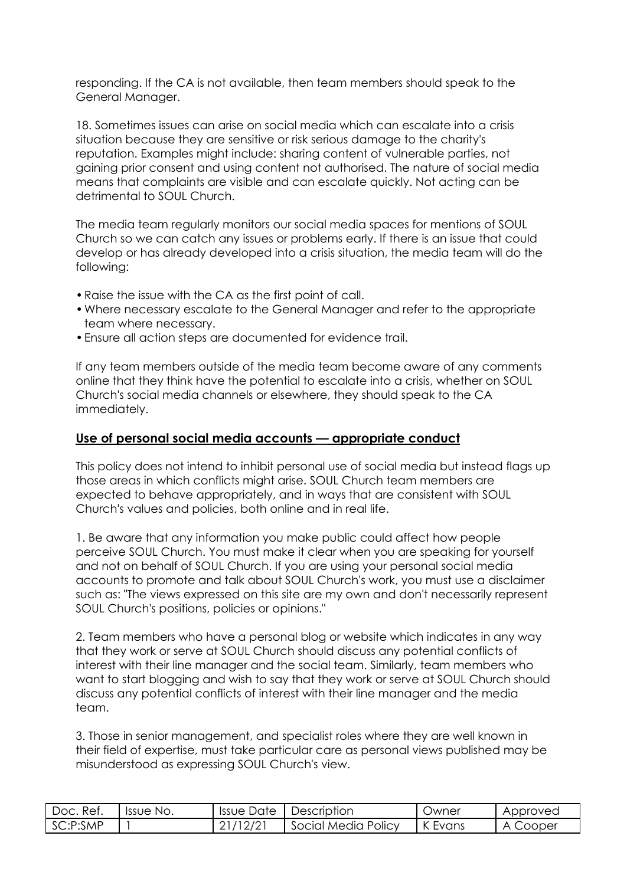responding. If the CA is not available, then team members should speak to the General Manager.

18. Sometimes issues can arise on social media which can escalate into a crisis situation because they are sensitive or risk serious damage to the charity's reputation. Examples might include: sharing content of vulnerable parties, not gaining prior consent and using content not authorised. The nature of social media means that complaints are visible and can escalate quickly. Not acting can be detrimental to SOUL Church.

The media team regularly monitors our social media spaces for mentions of SOUL Church so we can catch any issues or problems early. If there is an issue that could develop or has already developed into a crisis situation, the media team will do the following:

- •Raise the issue with the CA as the first point of call.
- •Where necessary escalate to the General Manager and refer to the appropriate team where necessary.
- •Ensure all action steps are documented for evidence trail.

If any team members outside of the media team become aware of any comments online that they think have the potential to escalate into a crisis, whether on SOUL Church's social media channels or elsewhere, they should speak to the CA immediately.

## **Use of personal social media accounts — appropriate conduct**

This policy does not intend to inhibit personal use of social media but instead flags up those areas in which conflicts might arise. SOUL Church team members are expected to behave appropriately, and in ways that are consistent with SOUL Church's values and policies, both online and in real life.

1. Be aware that any information you make public could affect how people perceive SOUL Church. You must make it clear when you are speaking for yourself and not on behalf of SOUL Church. If you are using your personal social media accounts to promote and talk about SOUL Church's work, you must use a disclaimer such as: "The views expressed on this site are my own and don't necessarily represent SOUL Church's positions, policies or opinions."

2. Team members who have a personal blog or website which indicates in any way that they work or serve at SOUL Church should discuss any potential conflicts of interest with their line manager and the social team. Similarly, team members who want to start blogging and wish to say that they work or serve at SOUL Church should discuss any potential conflicts of interest with their line manager and the media team.

3. Those in senior management, and specialist roles where they are well known in their field of expertise, must take particular care as personal views published may be misunderstood as expressing SOUL Church's view.

| Doc. Ref. | Issue No. | Issue Date | Description         | <b>Jwner</b>   | Approved      |
|-----------|-----------|------------|---------------------|----------------|---------------|
| SC:P:SMP  |           | 12/2       | Social Media Policy | " "<br>K Evans | . Cooper<br>д |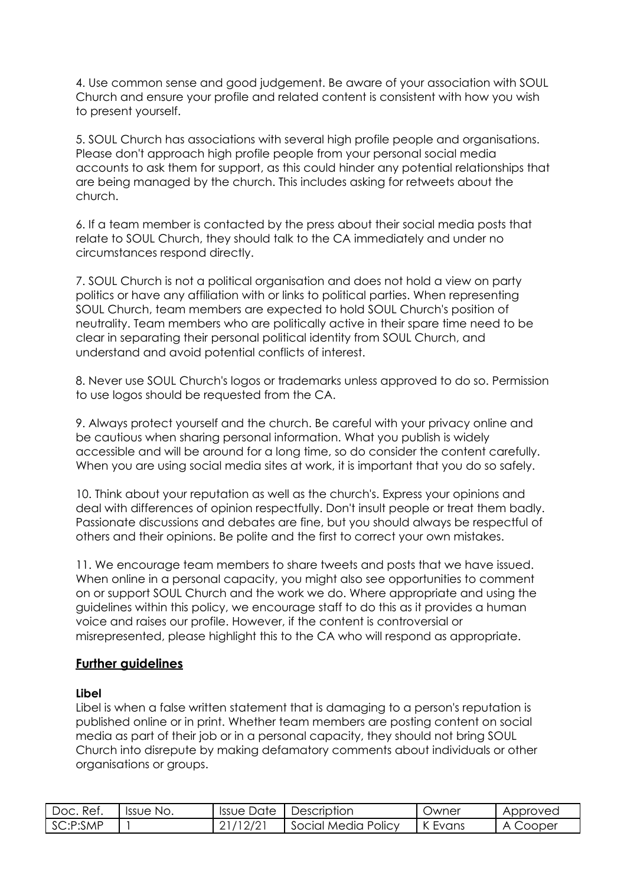4. Use common sense and good judgement. Be aware of your association with SOUL Church and ensure your profile and related content is consistent with how you wish to present yourself.

5. SOUL Church has associations with several high profile people and organisations. Please don't approach high profile people from your personal social media accounts to ask them for support, as this could hinder any potential relationships that are being managed by the church. This includes asking for retweets about the church.

6. If a team member is contacted by the press about their social media posts that relate to SOUL Church, they should talk to the CA immediately and under no circumstances respond directly.

7. SOUL Church is not a political organisation and does not hold a view on party politics or have any affiliation with or links to political parties. When representing SOUL Church, team members are expected to hold SOUL Church's position of neutrality. Team members who are politically active in their spare time need to be clear in separating their personal political identity from SOUL Church, and understand and avoid potential conflicts of interest.

8. Never use SOUL Church's logos or trademarks unless approved to do so. Permission to use logos should be requested from the CA.

9. Always protect yourself and the church. Be careful with your privacy online and be cautious when sharing personal information. What you publish is widely accessible and will be around for a long time, so do consider the content carefully. When you are using social media sites at work, it is important that you do so safely.

10. Think about your reputation as well as the church's. Express your opinions and deal with differences of opinion respectfully. Don't insult people or treat them badly. Passionate discussions and debates are fine, but you should always be respectful of others and their opinions. Be polite and the first to correct your own mistakes.

11. We encourage team members to share tweets and posts that we have issued. When online in a personal capacity, you might also see opportunities to comment on or support SOUL Church and the work we do. Where appropriate and using the guidelines within this policy, we encourage staff to do this as it provides a human voice and raises our profile. However, if the content is controversial or misrepresented, please highlight this to the CA who will respond as appropriate.

## **Further guidelines**

#### **Libel**

Libel is when a false written statement that is damaging to a person's reputation is published online or in print. Whether team members are posting content on social media as part of their job or in a personal capacity, they should not bring SOUL Church into disrepute by making defamatory comments about individuals or other organisations or groups.

| Ref.<br>Doc. | Issue No. | <b>Issue Date</b> | Description         | <b>Owner</b> | Approved |
|--------------|-----------|-------------------|---------------------|--------------|----------|
| SC:P:SMP     |           | /12/2<br>_        | Social Media Policy | K Evans      | , Cooper |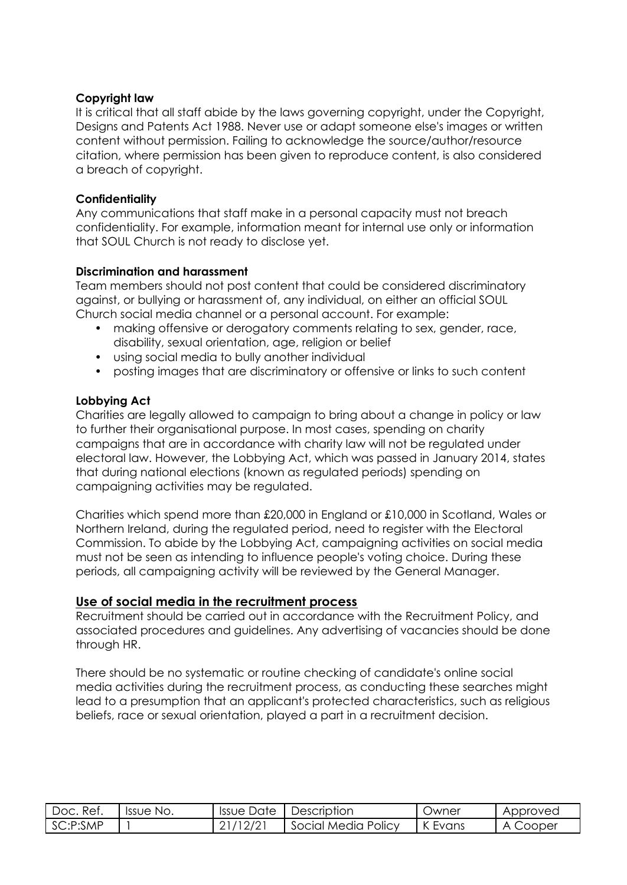### **Copyright law**

It is critical that all staff abide by the laws governing copyright, under the Copyright, Designs and Patents Act 1988. Never use or adapt someone else's images or written content without permission. Failing to acknowledge the source/author/resource citation, where permission has been given to reproduce content, is also considered a breach of copyright.

### **Confidentiality**

Any communications that staff make in a personal capacity must not breach confidentiality. For example, information meant for internal use only or information that SOUL Church is not ready to disclose yet.

### **Discrimination and harassment**

Team members should not post content that could be considered discriminatory against, or bullying or harassment of, any individual, on either an official SOUL Church social media channel or a personal account. For example:

- making offensive or derogatory comments relating to sex, gender, race, disability, sexual orientation, age, religion or belief
- using social media to bully another individual
- posting images that are discriminatory or offensive or links to such content

### **Lobbying Act**

Charities are legally allowed to campaign to bring about a change in policy or law to further their organisational purpose. In most cases, spending on charity campaigns that are in accordance with charity law will not be regulated under electoral law. However, the Lobbying Act, which was passed in January 2014, states that during national elections (known as regulated periods) spending on campaigning activities may be regulated.

Charities which spend more than £20,000 in England or £10,000 in Scotland, Wales or Northern Ireland, during the regulated period, need to register with the Electoral Commission. To abide by the Lobbying Act, campaigning activities on social media must not be seen as intending to influence people's voting choice. During these periods, all campaigning activity will be reviewed by the General Manager.

## **Use of social media in the recruitment process**

Recruitment should be carried out in accordance with the Recruitment Policy, and associated procedures and guidelines. Any advertising of vacancies should be done through HR.

There should be no systematic or routine checking of candidate's online social media activities during the recruitment process, as conducting these searches might lead to a presumption that an applicant's protected characteristics, such as religious beliefs, race or sexual orientation, played a part in a recruitment decision.

| Ret.<br>Doc. | Issue No. | Issue Date | Description         | Jwner          | Approved           |
|--------------|-----------|------------|---------------------|----------------|--------------------|
| SC:P:SMP     |           | _          | Social Media Policy | " "<br>K Evans | Cooper<br>$\Delta$ |